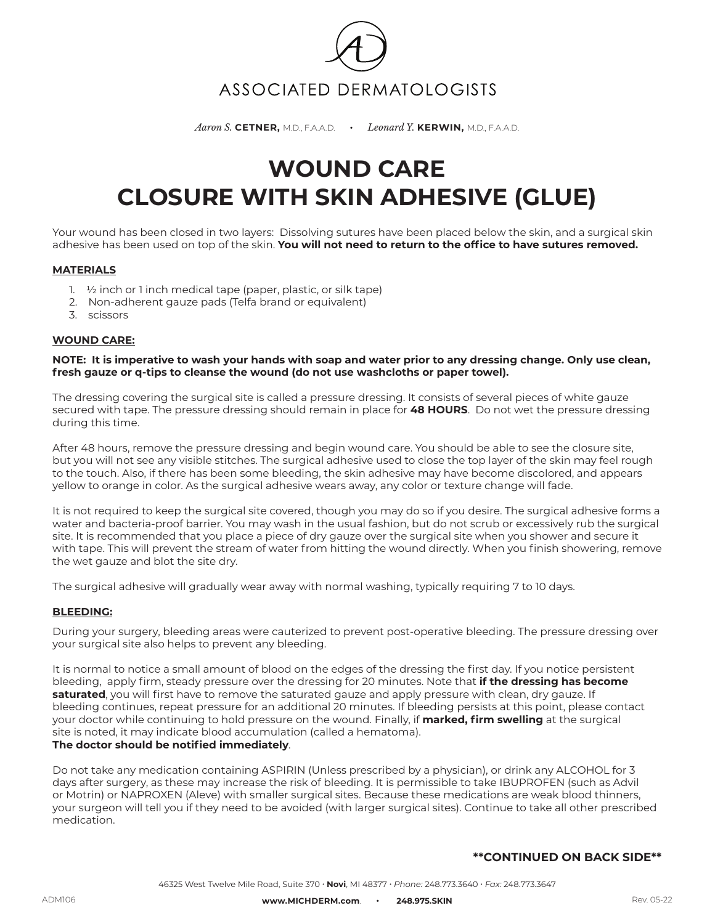

*Aaron S.* **CETNER,** M.D., F.A.A.D. **•** *Leonard Y.* **KERWIN,** M.D., F.A.A.D.

# **WOUND CARE CLOSURE WITH SKIN ADHESIVE (GLUE)**

Your wound has been closed in two layers: Dissolving sutures have been placed below the skin, and a surgical skin adhesive has been used on top of the skin. **You will not need to return to the office to have sutures removed.**

#### **MATERIALS**

- 1. <sup>1</sup>/<sub>2</sub> inch or 1 inch medical tape (paper, plastic, or silk tape)
- 2. Non-adherent gauze pads (Telfa brand or equivalent)
- 3. scissors

### **WOUND CARE:**

**NOTE: It is imperative to wash your hands with soap and water prior to any dressing change. Only use clean, fresh gauze or q-tips to cleanse the wound (do not use washcloths or paper towel).**

The dressing covering the surgical site is called a pressure dressing. It consists of several pieces of white gauze secured with tape. The pressure dressing should remain in place for **48 HOURS**. Do not wet the pressure dressing during this time.

After 48 hours, remove the pressure dressing and begin wound care. You should be able to see the closure site, but you will not see any visible stitches. The surgical adhesive used to close the top layer of the skin may feel rough to the touch. Also, if there has been some bleeding, the skin adhesive may have become discolored, and appears yellow to orange in color. As the surgical adhesive wears away, any color or texture change will fade.

It is not required to keep the surgical site covered, though you may do so if you desire. The surgical adhesive forms a water and bacteria-proof barrier. You may wash in the usual fashion, but do not scrub or excessively rub the surgical site. It is recommended that you place a piece of dry gauze over the surgical site when you shower and secure it with tape. This will prevent the stream of water from hitting the wound directly. When you finish showering, remove the wet gauze and blot the site dry.

The surgical adhesive will gradually wear away with normal washing, typically requiring 7 to 10 days.

#### **BLEEDING:**

During your surgery, bleeding areas were cauterized to prevent post-operative bleeding. The pressure dressing over your surgical site also helps to prevent any bleeding.

It is normal to notice a small amount of blood on the edges of the dressing the first day. If you notice persistent bleeding, apply firm, steady pressure over the dressing for 20 minutes. Note that **if the dressing has become saturated**, you will first have to remove the saturated gauze and apply pressure with clean, dry gauze. If bleeding continues, repeat pressure for an additional 20 minutes. If bleeding persists at this point, please contact your doctor while continuing to hold pressure on the wound. Finally, if **marked, firm swelling** at the surgical site is noted, it may indicate blood accumulation (called a hematoma).

## **The doctor should be notified immediately**.

Do not take any medication containing ASPIRIN (Unless prescribed by a physician), or drink any ALCOHOL for 3 days after surgery, as these may increase the risk of bleeding. It is permissible to take IBUPROFEN (such as Advil or Motrin) or NAPROXEN (Aleve) with smaller surgical sites. Because these medications are weak blood thinners, your surgeon will tell you if they need to be avoided (with larger surgical sites). Continue to take all other prescribed medication.

## **\*\*CONTINUED ON BACK SIDE\*\***